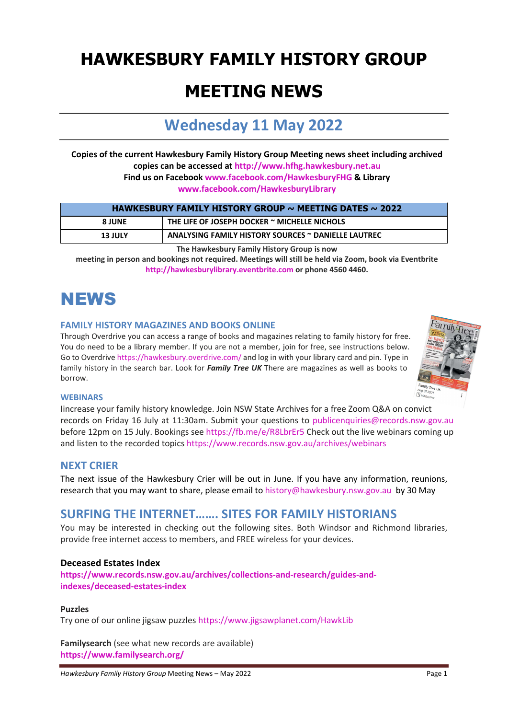# HAWKESBURY FAMILY HISTORY GROUP

### MEETING NEWS

### Wednesday 11 May 2022

Copies of the current Hawkesbury Family History Group Meeting news sheet including archived copies can be accessed at http://www.hfhg.hawkesbury.net.au Find us on Facebook www.facebook.com/HawkesburyFHG & Library www.facebook.com/HawkesburyLibrary

| HAWKESBURY FAMILY HISTORY GROUP $\sim$ MEETING DATES $\sim$ 2022 |                                                     |
|------------------------------------------------------------------|-----------------------------------------------------|
| <b>8 JUNE</b>                                                    | THE LIFE OF JOSEPH DOCKER $\sim$ MICHELLE NICHOLS   |
| <b>13 JULY</b>                                                   | ANALYSING FAMILY HISTORY SOURCES ~ DANIELLE LAUTREC |

The Hawkesbury Family History Group is now

meeting in person and bookings not required. Meetings will still be held via Zoom, book via Eventbrite http://hawkesburylibrary.eventbrite.com or phone 4560 4460.

# **NEWS**

#### FAMILY HISTORY MAGAZINES AND BOOKS ONLINE

Through Overdrive you can access a range of books and magazines relating to family history for free. You do need to be a library member. If you are not a member, join for free, see instructions below. Go to Overdrive https://hawkesbury.overdrive.com/ and log in with your library card and pin. Type in family history in the search bar. Look for Family Tree UK There are magazines as well as books to borrow.



#### **WEBINARS**

Iincrease your family history knowledge. Join NSW State Archives for a free Zoom Q&A on convict records on Friday 16 July at 11:30am. Submit your questions to publicenquiries@records.nsw.gov.au before 12pm on 15 July. Bookings see https://fb.me/e/R8LbrEr5 Check out the live webinars coming up and listen to the recorded topics https://www.records.nsw.gov.au/archives/webinars

#### NEXT CRIER

The next issue of the Hawkesbury Crier will be out in June. If you have any information, reunions, research that you may want to share, please email to history@hawkesbury.nsw.gov.au by 30 May

### SURFING THE INTERNET……. SITES FOR FAMILY HISTORIANS

You may be interested in checking out the following sites. Both Windsor and Richmond libraries, provide free internet access to members, and FREE wireless for your devices.

#### Deceased Estates Index

https://www.records.nsw.gov.au/archives/collections-and-research/guides-andindexes/deceased-estates-index

#### Puzzles

Try one of our online jigsaw puzzles https://www.jigsawplanet.com/HawkLib

Familysearch (see what new records are available) https://www.familysearch.org/